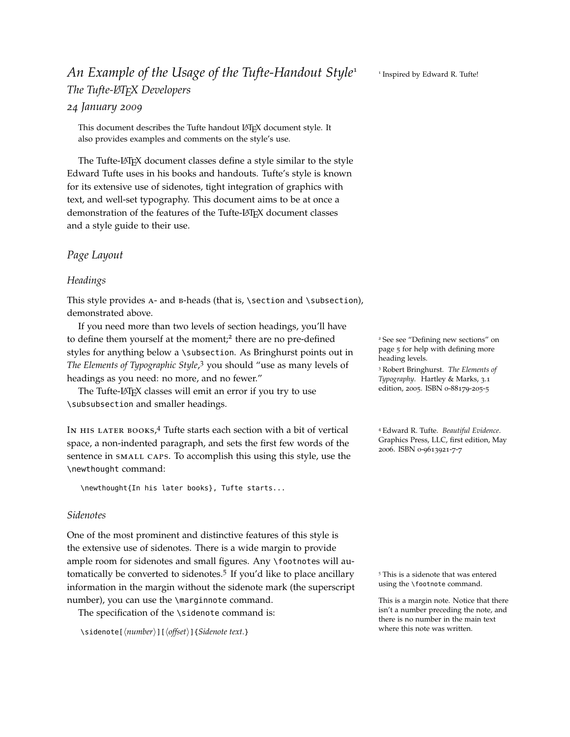# *An Example of the Usage of the Tufte-Handout Style*<sup>1</sup> <sup>1</sup> *The Tufte-LATEX Developers*

# *24 January 2009*

This document describes the Tufte handout LATEX document style. It also provides examples and comments on the style's use.

The Tufte-LATEX document classes define a style similar to the style Edward Tufte uses in his books and handouts. Tufte's style is known for its extensive use of sidenotes, tight integration of graphics with text, and well-set typography. This document aims to be at once a demonstration of the features of the Tufte-LAT<sub>E</sub>X document classes and a style guide to their use.

## <span id="page-0-0"></span>*Page Layout*

#### *Headings*

This style provides a- and b-heads (that is, \section and \subsection), demonstrated above.

If you need more than two levels of section headings, you'll have to define them yourself at the moment;<sup>2</sup> there are no pre-defined styles for anything below a \subsection. As Bringhurst points out in The Elements of Typographic Style,<sup>3</sup> you should "use as many levels of <sup>neading levels.</sup><br><sup>3</sup> Robert Bringhurst. *The Elements of* headings as you need: no more, and no fewer."

The Tufte-LATEX classes will emit an error if you try to use \subsubsection and smaller headings.

IN HIS LATER BOOKS,<sup>4</sup> Tufte starts each section with a bit of vertical 4 Edward R. Tufte. *Beautiful Evidence*. space, a non-indented paragraph, and sets the first few words of the sentence in small caps. To accomplish this using this style, use the \newthought command:

\newthought{In his later books}, Tufte starts...

#### *Sidenotes*

One of the most prominent and distinctive features of this style is the extensive use of sidenotes. There is a wide margin to provide ample room for sidenotes and small figures. Any \footnotes will automatically be converted to sidenotes.<sup>5</sup> If you'd like to place ancillary <sup>5</sup> This is a sidenote that was entered information in the margin without the sidenote mark (the superscript using the \footnote command. number), you can use the \marginnote command. This is a margin note. Notice that there

The specification of the \sidenote command is:

\sidenote[ $\langle number\rangle$ ][ $\langle offset\rangle$ ]{*Sidenote text.*}

<sup>2</sup> See see ["Defining new sections"](#page-0-0) on page [5](#page-0-0) for help with defining more heading levels.

*Typography*. Hartley & Marks, 3.1 edition, 2005. ISBN 0-88179-205-5

Graphics Press, LLC, first edition, May 2006. ISBN 0-9613921-7-7

isn't a number preceding the note, and there is no number in the main text where this note was written.

<sup>1</sup> Inspired by Edward R. Tufte!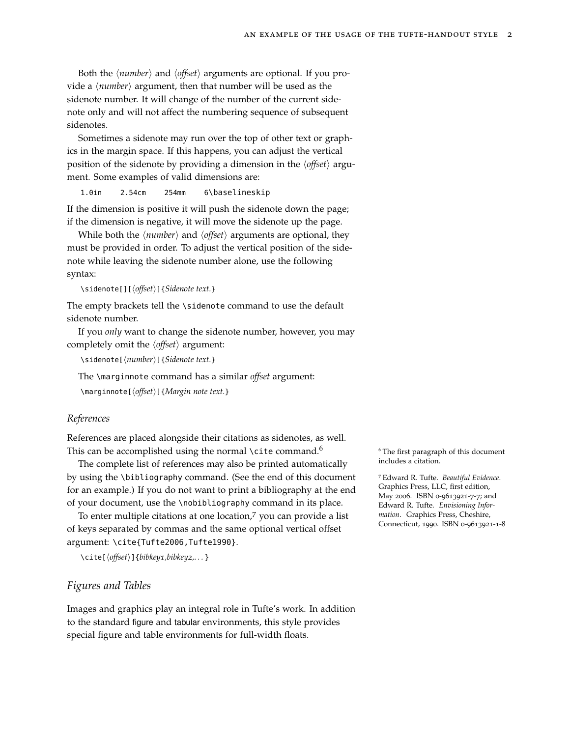Both the *(number)* and *(offset)* arguments are optional. If you provide a  $\langle$ *number* $\rangle$  argument, then that number will be used as the sidenote number. It will change of the number of the current sidenote only and will not affect the numbering sequence of subsequent sidenotes.

Sometimes a sidenote may run over the top of other text or graphics in the margin space. If this happens, you can adjust the vertical position of the sidenote by providing a dimension in the  $\langle \text{offset} \rangle$  argument. Some examples of valid dimensions are:

1.0in 2.54cm 254mm 6\baselineskip

If the dimension is positive it will push the sidenote down the page; if the dimension is negative, it will move the sidenote up the page.

While both the  $\langle number \rangle$  and  $\langle offset \rangle$  arguments are optional, they must be provided in order. To adjust the vertical position of the sidenote while leaving the sidenote number alone, use the following syntax:

\sidenote[][h*offset*i]{*Sidenote text.*}

The empty brackets tell the \sidenote command to use the default sidenote number.

If you *only* want to change the sidenote number, however, you may completely omit the  $\langle \text{offset} \rangle$  argument:

\sidenote[ $\langle number \rangle$ ]{*Sidenote text.*}

The \marginnote command has a similar *offset* argument:

\marginnote[h*offset*i]{*Margin note text.*}

#### *References*

References are placed alongside their citations as sidenotes, as well. This can be accomplished using the normal \cite command.<sup>6</sup>  $\frac{6}{10}$  The first paragraph of this document

The complete list of references may also be printed automatically includes a citation. by using the \bibliography command. (See the end of this document for an example.) If you do not want to print a bibliography at the end of your document, use the \nobibliography command in its place.

To enter multiple citations at one location,<sup>7</sup> you can provide a list of keys separated by commas and the same optional vertical offset argument: \cite{Tufte2006,Tufte1990}.

```
\cite[hoffseti]{bibkey1,bibkey2,. . . }
```
#### *Figures and Tables*

Images and graphics play an integral role in Tufte's work. In addition to the standard figure and tabular environments, this style provides special figure and table environments for full-width floats.

<sup>7</sup> Edward R. Tufte. *Beautiful Evidence*. Graphics Press, LLC, first edition, May 2006. ISBN 0-9613921-7-7; and Edward R. Tufte. *Envisioning Information*. Graphics Press, Cheshire, Connecticut, 1990. ISBN 0-9613921-1-8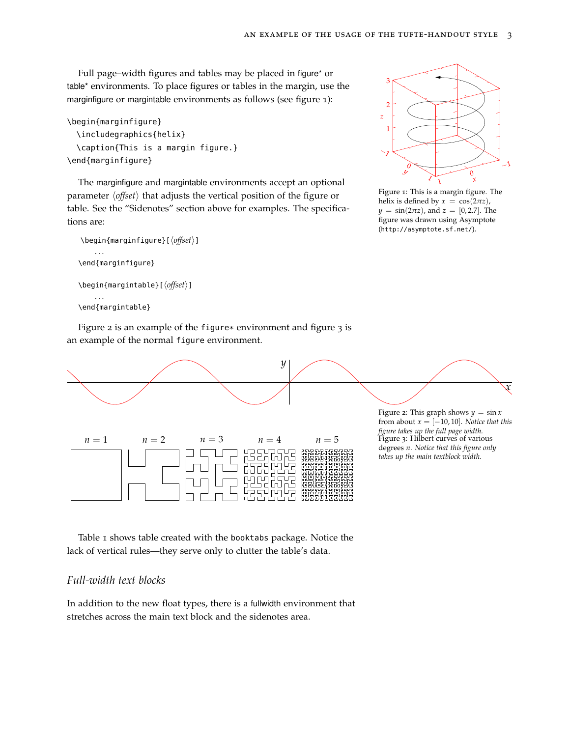Full page–width figures and tables may be placed in figure\* or table\* environments. To place figures or tables in the margin, use the marginfigure or margintable environments as follows (see figure [1](#page-0-0)):

```
\begin{marginfigure}
  \includegraphics{helix}
  \caption{This is a margin figure.}
\end{marginfigure}
```
The marginfigure and margintable environments accept an optional parameter  $\langle \text{offset} \rangle$  that adjusts the vertical position of the figure or table. See the ["Sidenotes"](#page-0-0) section above for examples. The specifications are:

Figure [2](#page-0-0) is an example of the figure\* environment and figure [3](#page-0-0) is

```
\begin{marginfigure}[\langleoffset}]
    . . .
\end{marginfigure}
\begin{margintable}[\langleoffset}]
    . . .
\end{margintable}
```


Figure 1: This is a margin figure. The helix is defined by  $x = \cos(2\pi z)$ , *y* = sin(2*πz*), and *z* = [0, 2.7]. The figure was drawn using Asymptote (<http://asymptote.sf.net/>).



Table [1](#page-0-0) shows table created with the booktabs package. Notice the lack of vertical rules—they serve only to clutter the table's data.

## *Full-width text blocks*

In addition to the new float types, there is a fullwidth environment that stretches across the main text block and the sidenotes area.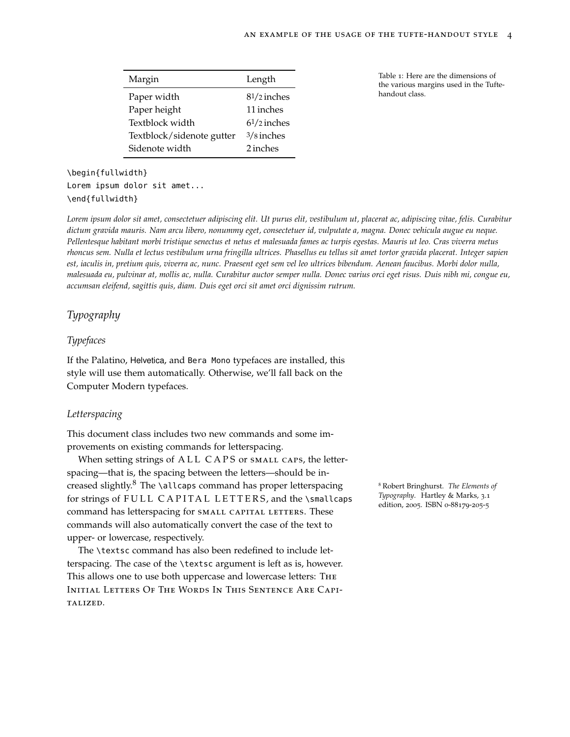| Margin                    | Length        |
|---------------------------|---------------|
| Paper width               | $81/2$ inches |
| Paper height              | 11 inches     |
| Textblock width           | $61/2$ inches |
| Textblock/sidenote gutter | $3/8$ inches  |
| Sidenote width            | 2 inches      |

Table 1: Here are the dimensions of the various margins used in the Tuftehandout class.

# \begin{fullwidth} Lorem ipsum dolor sit amet... \end{fullwidth}

*Lorem ipsum dolor sit amet, consectetuer adipiscing elit. Ut purus elit, vestibulum ut, placerat ac, adipiscing vitae, felis. Curabitur dictum gravida mauris. Nam arcu libero, nonummy eget, consectetuer id, vulputate a, magna. Donec vehicula augue eu neque. Pellentesque habitant morbi tristique senectus et netus et malesuada fames ac turpis egestas. Mauris ut leo. Cras viverra metus rhoncus sem. Nulla et lectus vestibulum urna fringilla ultrices. Phasellus eu tellus sit amet tortor gravida placerat. Integer sapien est, iaculis in, pretium quis, viverra ac, nunc. Praesent eget sem vel leo ultrices bibendum. Aenean faucibus. Morbi dolor nulla, malesuada eu, pulvinar at, mollis ac, nulla. Curabitur auctor semper nulla. Donec varius orci eget risus. Duis nibh mi, congue eu, accumsan eleifend, sagittis quis, diam. Duis eget orci sit amet orci dignissim rutrum.*

# *Typography*

## *Typefaces*

If the Palatino, Helvetica, and Bera Mono typefaces are installed, this style will use them automatically. Otherwise, we'll fall back on the Computer Modern typefaces.

#### *Letterspacing*

This document class includes two new commands and some improvements on existing commands for letterspacing.

When setting strings of ALL CAPS or SMALL CAPS, the letterspacing—that is, the spacing between the letters—should be increased slightly.<sup>8</sup> The \allcaps command has proper letterspacing <sup>8</sup> Robert Bringhurst. *The Elements of* for strings of FULL CAPITAL LETTERS, and the \smallcaps command has letterspacing for SMALL CAPITAL LETTERS. These commands will also automatically convert the case of the text to upper- or lowercase, respectively.

The \textsc command has also been redefined to include letterspacing. The case of the \textsc argument is left as is, however. This allows one to use both uppercase and lowercase letters: The Initial Letters Of The Words In This Sentence Are Capitalized.

*Typography*. Hartley & Marks, 3.1 edition, 2005. ISBN 0-88179-205-5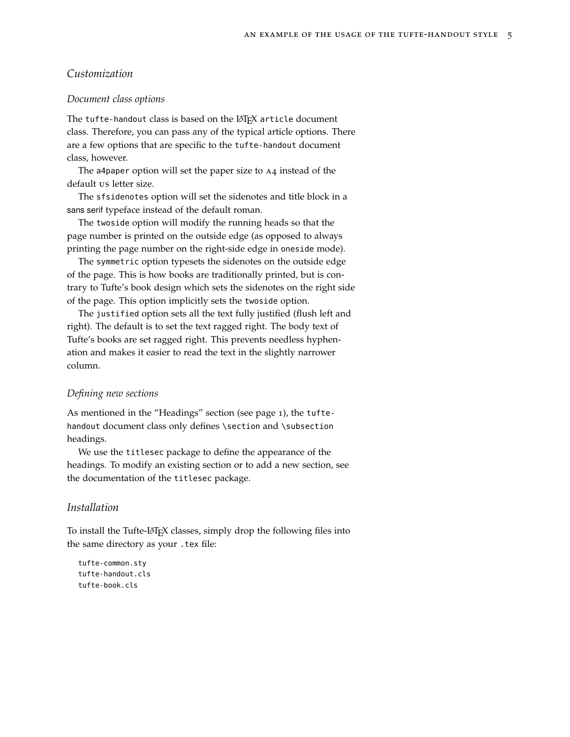## *Customization*

#### *Document class options*

The tufte-handout class is based on the LAT<sub>E</sub>X article document class. Therefore, you can pass any of the typical article options. There are a few options that are specific to the tufte-handout document class, however.

The a4paper option will set the paper size to A4 instead of the default us letter size.

The sfsidenotes option will set the sidenotes and title block in a sans serif typeface instead of the default roman.

The twoside option will modify the running heads so that the page number is printed on the outside edge (as opposed to always printing the page number on the right-side edge in oneside mode).

The symmetric option typesets the sidenotes on the outside edge of the page. This is how books are traditionally printed, but is contrary to Tufte's book design which sets the sidenotes on the right side of the page. This option implicitly sets the twoside option.

The justified option sets all the text fully justified (flush left and right). The default is to set the text ragged right. The body text of Tufte's books are set ragged right. This prevents needless hyphenation and makes it easier to read the text in the slightly narrower column.

#### *Defining new sections*

As mentioned in the ["Headings"](#page-0-0) section (see page [1](#page-0-0)), the tuftehandout document class only defines \section and \subsection headings.

We use the titlesec package to define the appearance of the headings. To modify an existing section or to add a new section, see the documentation of the titlesec package.

## *Installation*

To install the Tufte-LATEX classes, simply drop the following files into the same directory as your .tex file:

tufte-common.sty tufte-handout.cls tufte-book.cls